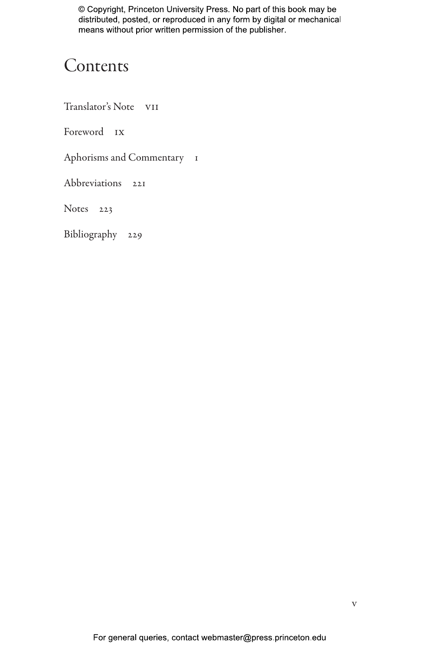## Contents

Translator's Note vii

Foreword ix

Aphorisms and Commentary 1

Abbreviations 221

Notes 223

Bibliography 229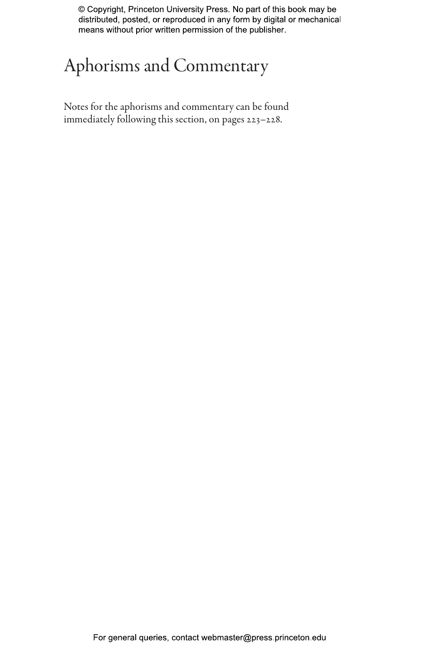## Aphorisms and Commentary

Notes for the aphorisms and commentary can be found immediately following this section, on pages 223–228.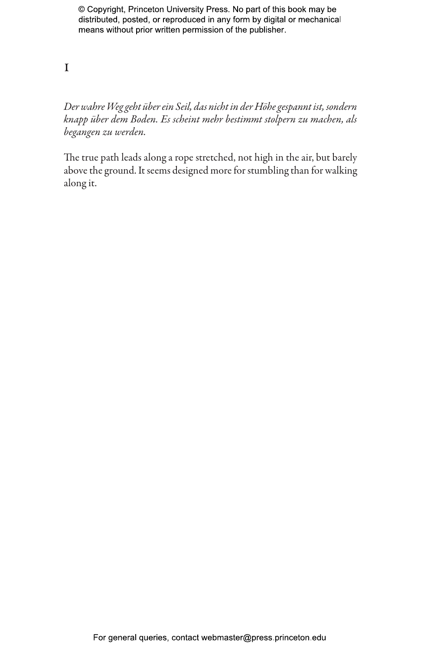1

*Der wahre Weg geht über ein Seil, das nicht in der Höhe gespannt ist, sondern knapp über dem Boden. Es scheint mehr bestimmt stolpern zu machen, als begangen zu werden.*

The true path leads along a rope stretched, not high in the air, but barely above the ground. It seems designed more for stumbling than for walking along it.